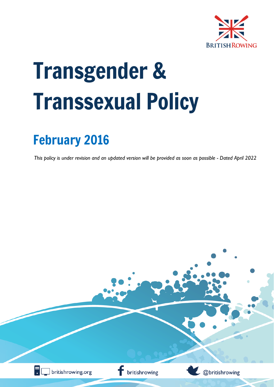

# Transgender & Transsexual Policy

## February 2016

*This policy is under revision and an updated version will be provided as soon as possible - Dated April 2022*

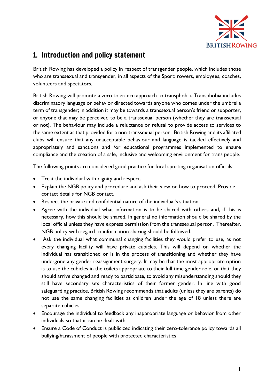

## 1. Introduction and policy statement

British Rowing has developed a policy in respect of transgender people, which includes those who are transsexual and transgender, in all aspects of the Sport: rowers, employees, coaches, volunteers and spectators.

British Rowing will promote a zero tolerance approach to transphobia. Transphobia includes discriminatory language or behavior directed towards anyone who comes under the umbrella term of transgender; in addition it may be towards a transsexual person's friend or supporter, or anyone that may be perceived to be a transsexual person (whether they are transsexual or not). The behaviour may include a reluctance or refusal to provide access to services to the same extent as that provided for a non-transsexual person. British Rowing and its affiliated clubs will ensure that any unacceptable behaviour and language is tackled effectively and appropriately and sanctions and /or educational programmes implemented to ensure compliance and the creation of a safe, inclusive and welcoming environment for trans people.

The following points are considered good practice for local sporting organisation officials:

- Treat the individual with dignity and respect.
- Explain the NGB policy and procedure and ask their view on how to proceed. Provide contact details for NGB contact.
- Respect the private and confidential nature of the individual's situation.
- Agree with the individual what information is to be shared with others and, if this is necessary, how this should be shared. In general no information should be shared by the local official unless they have express permission from the transsexual person. Thereafter, NGB policy with regard to information sharing should be followed.
- Ask the individual what communal changing facilities they would prefer to use, as not every changing facility will have private cubicles. This will depend on whether the individual has transitioned or is in the process of transitioning and whether they have undergone any gender reassignment surgery. It may be that the most appropriate option is to use the cubicles in the toilets appropriate to their full time gender role, or that they should arrive changed and ready to participate, to avoid any misunderstanding should they still have secondary sex characteristics of their former gender. In line with good safeguarding practice, British Rowing recommends that adults (unless they are parents) do not use the same changing facilities as children under the age of 18 unless there are separate cubicles.
- Encourage the individual to feedback any inappropriate language or behavior from other individuals so that it can be dealt with.
- Ensure a Code of Conduct is publicized indicating their zero-tolerance policy towards all bullying/harassment of people with protected characteristics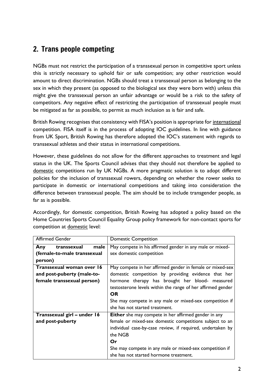## 2. Trans people competing

NGBs must not restrict the participation of a transsexual person in competitive sport unless this is strictly necessary to uphold fair or safe competition; any other restriction would amount to direct discrimination. NGBs should treat a transsexual person as belonging to the sex in which they present (as opposed to the biological sex they were born with) unless this might give the transsexual person an unfair advantage or would be a risk to the safety of competitors. Any negative effect of restricting the participation of transsexual people must be mitigated as far as possible, to permit as much inclusion as is fair and safe.

British Rowing recognises that consistency with FISA's position is appropriate for international competition. FISA itself is in the process of adopting IOC guidelines. In line with guidance from UK Sport, British Rowing has therefore adopted the IOC's statement with regards to transsexual athletes and their status in international competitions.

However, these guidelines do not allow for the different approaches to treatment and legal status in the UK. The Sports Council advises that they should not therefore be applied to domestic competitions run by UK NGBs. A more pragmatic solution is to adopt different policies for the inclusion of transsexual rowers, depending on whether the rower seeks to participate in domestic or international competitions and taking into consideration the difference between transsexual people. The aim should be to include transgender people, as far as is possible.

| <b>Affirmed Gender</b>      | <b>Domestic Competition</b>                                 |
|-----------------------------|-------------------------------------------------------------|
| transsexual<br>male<br>Any  | May compete in his affirmed gender in any male or mixed-    |
| (female-to-male transsexual | sex domestic competition                                    |
| person)                     |                                                             |
| Transsexual woman over 16   | May compete in her affirmed gender in female or mixed-sex   |
| and post-puberty (male-to-  | domestic competition by providing evidence that her         |
| female transsexual person)  | hormone therapy has brought her blood- measured             |
|                             | testosterone levels within the range of her affirmed gender |
|                             | <b>OR</b>                                                   |
|                             | She may compete in any male or mixed-sex competition if     |
|                             | she has not started treatment.                              |
| Transsexual girl - under 16 | <b>Either</b> she may compete in her affirmed gender in any |
| and post-puberty            | female or mixed-sex domestic competitions subject to an     |
|                             | individual case-by-case review, if required, undertaken by  |
|                             | the NGB                                                     |
|                             | Or                                                          |
|                             | She may compete in any male or mixed-sex competition if     |
|                             | she has not started hormone treatment.                      |

Accordingly, for domestic competition, British Rowing has adopted a policy based on the Home Countries Sports Council Equality Group policy framework for non-contact sports for competition at domestic level: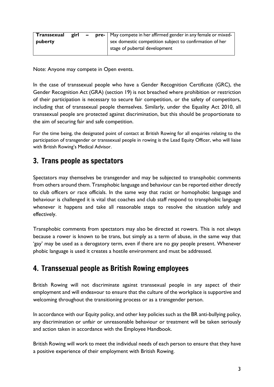| $\mid$ Transsexual | girl – |  | <b>pre-</b>   May compete in her affirmed gender in any female or mixed- |
|--------------------|--------|--|--------------------------------------------------------------------------|
| puberty            |        |  | sex domestic competition subject to confirmation of her                  |
|                    |        |  | stage of pubertal development                                            |

Note: Anyone may compete in Open events.

In the case of transsexual people who have a Gender Recognition Certificate (GRC), the Gender Recognition Act (GRA) (section 19) is not breached where prohibition or restriction of their participation is necessary to secure fair competition, or the safety of competitors, including that of transsexual people themselves. Similarly, under the Equality Act 2010, all transsexual people are protected against discrimination, but this should be proportionate to the aim of securing fair and safe competition.

For the time being, the designated point of contact at British Rowing for all enquiries relating to the participation of transgender or transsexual people in rowing is the Lead Equity Officer, who will liaise with British Rowing's Medical Advisor.

## 3. Trans people as spectators

Spectators may themselves be transgender and may be subjected to transphobic comments from others around them. Transphobic language and behaviour can be reported either directly to club officers or race officials. In the same way that racist or homophobic language and behaviour is challenged it is vital that coaches and club staff respond to transphobic language whenever it happens and take all reasonable steps to resolve the situation safely and effectively.

Transphobic comments from spectators may also be directed at rowers. This is not always because a rower is known to be trans, but simply as a term of abuse, in the same way that 'gay' may be used as a derogatory term, even if there are no gay people present. Whenever phobic language is used it creates a hostile environment and must be addressed.

## 4. Transsexual people as British Rowing employees

British Rowing will not discriminate against transsexual people in any aspect of their employment and will endeavour to ensure that the culture of the workplace is supportive and welcoming throughout the transitioning process or as a transgender person.

In accordance with our Equity policy, and other key policies such as the BR anti-bullying policy, any discrimination or unfair or unreasonable behaviour or treatment will be taken seriously and action taken in accordance with the Employee Handbook.

British Rowing will work to meet the individual needs of each person to ensure that they have a positive experience of their employment with British Rowing.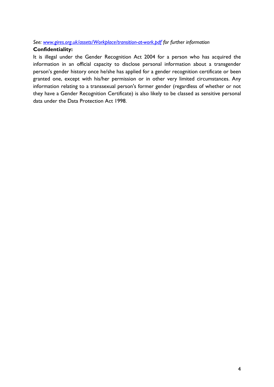#### *See: [www.gires.org.uk/assets/Workplace/transition-at-work.pdf](http://www.gires.org.uk/assets/Workplace/transition-at-work.pdf) for further information*

#### **Confidentiality:**

It is illegal under the Gender Recognition Act 2004 for a person who has acquired the information in an official capacity to disclose personal information about a transgender person's gender history once he/she has applied for a gender recognition certificate or been granted one, except with his/her permission or in other very limited circumstances. Any information relating to a transsexual person's former gender (regardless of whether or not they have a Gender Recognition Certificate) is also likely to be classed as sensitive personal data under the Data Protection Act 1998.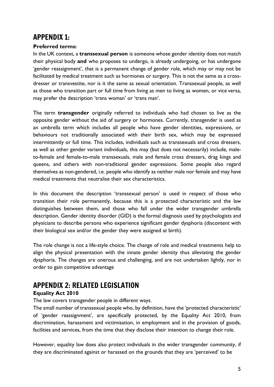## APPENDIX 1:

#### **Preferred terms:**

In the UK context, a **transsexual person** is someone whose gender identity does not match their physical body **and** who proposes to undergo, is already undergoing, or has undergone 'gender reassignment', that is a permanent change of gender role, which may or may not be facilitated by medical treatment such as hormones or surgery. This is not the same as a crossdresser or transvestite, nor is it the same as sexual orientation. Transsexual people, as well as those who transition part or full time from living as men to living as women, or vice versa, may prefer the description 'trans woman' or 'trans man'.

The term **transgender** originally referred to individuals who had chosen to live as the opposite gender without the aid of surgery or hormones. Currently, transgender is used as an umbrella term which includes all people who have gender identities, expressions, or behaviours not traditionally associated with their birth sex, which may be expressed intermittently or full time. This includes, individuals such as transsexuals and cross dressers, as well as other gender variant individuals, this may (but does not necessarily) include, maleto-female and female-to-male transsexuals, male and female cross dressers, drag kings and queens, and others with non-traditional gender expressions. Some people also regard themselves as non-gendered, i.e. people who identify as neither male nor female and may have medical treatments that neutralise their sex characteristics.

In this document the description 'transsexual person' is used in respect of those who transition their role permanently, because this is a protected characteristic and the law distinguishes between them, and those who fall under the wider transgender umbrella description. Gender identity disorder (GID) is the formal diagnosis used by psychologists and physicians to describe persons who experience significant gender dysphoria (discontent with their biological sex and/or the gender they were assigned at birth).

The role change is not a life-style choice. The change of role and medical treatments help to align the physical presentation with the innate gender identity thus alleviating the gender dysphoria. The changes are onerous and challenging, and are not undertaken lightly, nor in order to gain competitive advantage

## APPENDIX 2: RELATED LEGISLATION

#### **Equality Act 2010**

The law covers transgender people in different ways.

The small number of transsexual people who, by definition, have the 'protected characteristic' of 'gender reassignment', are specifically protected, by the Equality Act 2010, from discrimination, harassment and victimisation, in employment and in the provision of goods, facilities and services, from the time that they disclose their intention to change their role.

However, equality law does also protect individuals in the wider transgender community, if they are discriminated against or harassed on the grounds that they are 'perceived' to be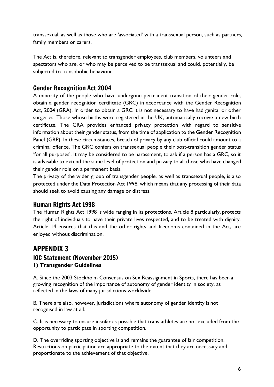transsexual, as well as those who are 'associated' with a transsexual person, such as partners, family members or carers.

The Act is, therefore, relevant to transgender employees, club members, volunteers and spectators who are, or who may be perceived to be transsexual and could, potentially, be subjected to transphobic behaviour.

#### Gender Recognition Act 2004

A minority of the people who have undergone permanent transition of their gender role, obtain a gender recognition certificate (GRC) in accordance with the Gender Recognition Act, 2004 (GRA). In order to obtain a GRC it is not necessary to have had genital or other surgeries. Those whose births were registered in the UK, automatically receive a new birth certificate. The GRA provides enhanced privacy protection with regard to sensitive information about their gender status, from the time of application to the Gender Recognition Panel (GRP). In these circumstances, breach of privacy by any club official could amount to a criminal offence. The GRC confers on transsexual people their post-transition gender status 'for all purposes'. It may be considered to be harassment, to ask if a person has a GRC, so it is advisable to extend the same level of protection and privacy to all those who have changed their gender role on a permanent basis.

The privacy of the wider group of transgender people, as well as transsexual people, is also protected under the Data Protection Act 1998, which means that any processing of their data should seek to avoid causing any damage or distress.

#### Human Rights Act 1998

The Human Rights Act 1998 is wide ranging in its protections. Article 8 particularly, protects the right of individuals to have their private lives respected, and to be treated with dignity. Article 14 ensures that this and the other rights and freedoms contained in the Act, are enjoyed without discrimination.

### APPENDIX 3 IOC Statement (November 2015) **1) Transgender Guidelines**

A. Since the 2003 Stockholm Consensus on Sex Reassignment in Sports, there has been a growing recognition of the importance of autonomy of gender identity in society, as reflected in the laws of many jurisdictions worldwide.

B. There are also, however, jurisdictions where autonomy of gender identity is not recognised in law at all.

C. It is necessary to ensure insofar as possible that trans athletes are not excluded from the opportunity to participate in sporting competition.

D. The overriding sporting objective is and remains the guarantee of fair competition. Restrictions on participation are appropriate to the extent that they are necessary and proportionate to the achievement of that objective.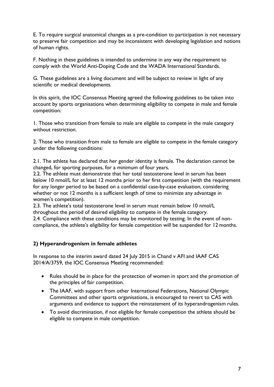E. To require surgical anatomical changes as a pre-condition to participation is not necessary to preserve fair competition and may be inconsistent with developing legislation and notions of human rights.

F. Nothing in these guidelines is intended to undermine in any way the requirement to comply with the World Anti-Doping Code and the WADA International Standards.

G. These guidelines are a living document and will be subject to review in light of any scientific or medical developments.

In this spirit, the IOC Consensus Meeting agreed the following guidelines to be taken into account by sports organisations when determining eligibility to compete in male and female competition:

1. Those who transition from female to male are eligible to compete in the male category without restriction.

2. Those who transition from male to female are eligible to compete in the female category under the following conditions:

2.1. The athlete has declared that her gender identity is female. The declaration cannot be changed, for sporting purposes, for a minimum of four years.

2.2. The athlete must demonstrate that her total testosterone level in serum has been below 10 nmol/L for at least 12 months prior to her first competition (with the requirement for any longer period to be based on a confidential case-by-case evaluation, considering whether or not 12 months is a sufficient length of time to minimize any advantage in women's competition).

2.3. The athlete's total testosterone level in serum must remain below 10 nmol/L throughout the period of desired eligibility to compete in the female category.

2.4. Compliance with these conditions may be monitored by testing. In the event of noncompliance, the athlete's eligibility for female competition will be suspended for 12 months.

#### **2) Hyperandrogenism in female athletes**

In response to the interim award dated 24 July 2015 in Chand v AFI and IAAF CAS 2014/A/3759, the IOC Consensus Meeting recommended:

- Rules should be in place for the protection of women in sport and the promotion of the principles of fair competition.
- The IAAF, with support from other International Federations, National Olympic Committees and other sports organisations, is encouraged to revert to CAS with arguments and evidence to support the reinstatement of its hyperandrogenism rules.
- To avoid discrimination, if not eligible for female competition the athlete should be eligible to compete in male competition.